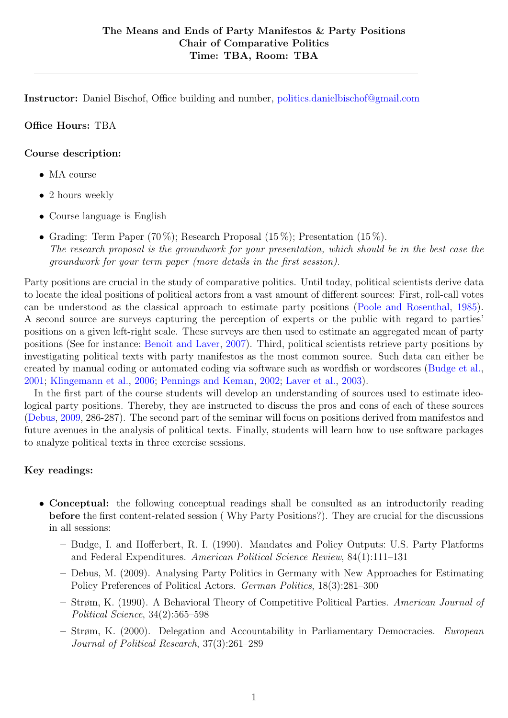Instructor: Daniel Bischof, Office building and number, [politics.danielbischof@gmail.com](mailto:politics.danielbischof@gmail.com)

#### Office Hours: TBA

#### Course description:

- MA course
- 2 hours weekly
- Course language is English
- Grading: Term Paper  $(70\%)$ ; Research Proposal  $(15\%)$ ; Presentation  $(15\%)$ . The research proposal is the groundwork for your presentation, which should be in the best case the groundwork for your term paper (more details in the first session).

Party positions are crucial in the study of comparative politics. Until today, political scientists derive data to locate the ideal positions of political actors from a vast amount of different sources: First, roll-call votes can be understood as the classical approach to estimate party positions [\(Poole and Rosenthal,](#page-3-0) [1985\)](#page-3-0). A second source are surveys capturing the perception of experts or the public with regard to parties' positions on a given left-right scale. These surveys are then used to estimate an aggregated mean of party positions (See for instance: [Benoit and Laver,](#page-4-0) [2007\)](#page-4-0). Third, political scientists retrieve party positions by investigating political texts with party manifestos as the most common source. Such data can either be created by manual coding or automated coding via software such as wordfish or wordscores [\(Budge et al.,](#page-6-0) [2001;](#page-6-0) [Klingemann et al.,](#page-4-1) [2006;](#page-4-1) [Pennings and Keman,](#page-7-0) [2002;](#page-7-0) [Laver et al.,](#page-4-2) [2003\)](#page-4-2).

In the first part of the course students will develop an understanding of sources used to estimate ideological party positions. Thereby, they are instructed to discuss the pros and cons of each of these sources [\(Debus,](#page-0-0) [2009,](#page-0-0) 286-287). The second part of the seminar will focus on positions derived from manifestos and future avenues in the analysis of political texts. Finally, students will learn how to use software packages to analyze political texts in three exercise sessions.

### Key readings:

- <span id="page-0-0"></span>• Conceptual: the following conceptual readings shall be consulted as an introductorily reading before the first content-related session ( Why Party Positions?). They are crucial for the discussions in all sessions:
	- Budge, I. and Hofferbert, R. I. (1990). Mandates and Policy Outputs: U.S. Party Platforms and Federal Expenditures. American Political Science Review, 84(1):111–131
	- Debus, M. (2009). Analysing Party Politics in Germany with New Approaches for Estimating Policy Preferences of Political Actors. German Politics, 18(3):281–300
	- Strøm, K. (1990). A Behavioral Theory of Competitive Political Parties. American Journal of Political Science, 34(2):565–598
	- Strøm, K. (2000). Delegation and Accountability in Parliamentary Democracies. European Journal of Political Research, 37(3):261–289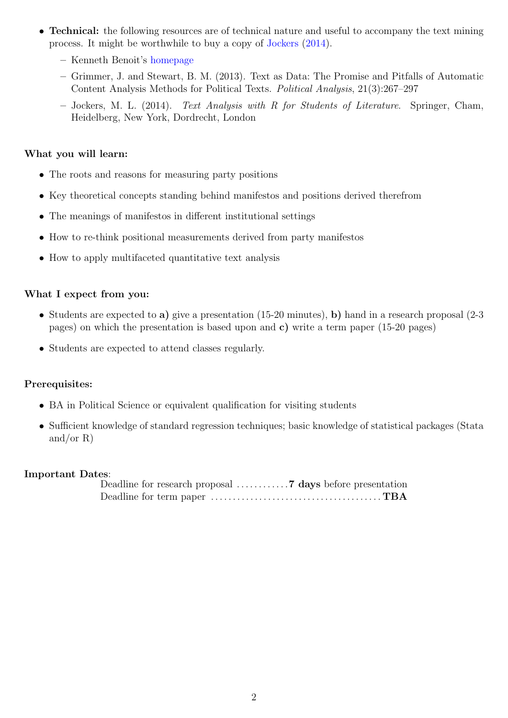- **Technical:** the following resources are of technical nature and useful to accompany the text mining process. It might be worthwhile to buy a copy of [Jockers](#page-1-0) [\(2014\)](#page-1-0).
	- Kenneth Benoit's [homepage](http://www.kenbenoit.net/category/quantitative-methods/)
	- Grimmer, J. and Stewart, B. M. (2013). Text as Data: The Promise and Pitfalls of Automatic Content Analysis Methods for Political Texts. Political Analysis, 21(3):267–297
	- Jockers, M. L. (2014). Text Analysis with R for Students of Literature. Springer, Cham, Heidelberg, New York, Dordrecht, London

#### <span id="page-1-0"></span>What you will learn:

- The roots and reasons for measuring party positions
- Key theoretical concepts standing behind manifestos and positions derived therefrom
- The meanings of manifestos in different institutional settings
- How to re-think positional measurements derived from party manifestos
- How to apply multifaceted quantitative text analysis

#### What I expect from you:

- Students are expected to a) give a presentation  $(15-20 \text{ minutes})$ , b) hand in a research proposal  $(2-3)$ pages) on which the presentation is based upon and c) write a term paper (15-20 pages)
- Students are expected to attend classes regularly.

### Prerequisites:

- BA in Political Science or equivalent qualification for visiting students
- Sufficient knowledge of standard regression techniques; basic knowledge of statistical packages (Stata and/or R)

#### Important Dates:

Deadline for research proposal . . . . . . . . . . . .7 days before presentation Deadline for term paper . . . . . . . . . . . . . . . . . . . . . . . . . . . . . . . . . . . . . . . TBA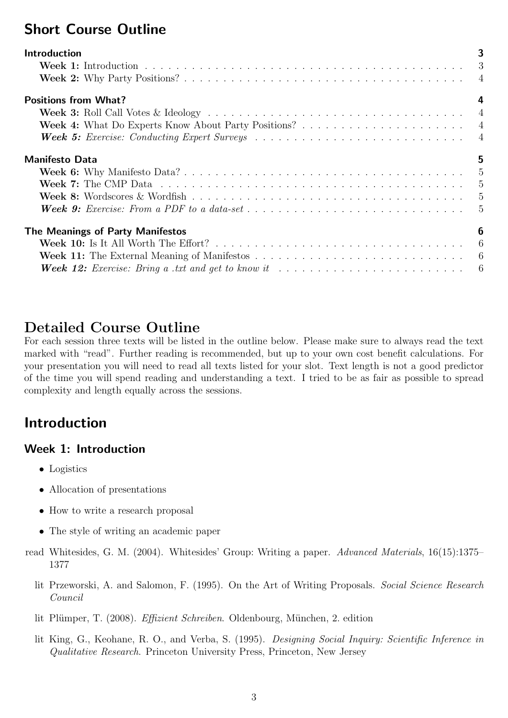# Short Course Outline

| <b>Introduction</b>                                                                                                               | 3 |
|-----------------------------------------------------------------------------------------------------------------------------------|---|
|                                                                                                                                   |   |
|                                                                                                                                   |   |
| <b>Positions from What?</b>                                                                                                       | 4 |
|                                                                                                                                   |   |
|                                                                                                                                   |   |
|                                                                                                                                   |   |
| <b>Manifesto Data</b>                                                                                                             | 5 |
|                                                                                                                                   |   |
|                                                                                                                                   |   |
|                                                                                                                                   |   |
|                                                                                                                                   |   |
| The Meanings of Party Manifestos                                                                                                  | 6 |
|                                                                                                                                   |   |
| <b>Week 11:</b> The External Meaning of Manifestos $\ldots \ldots \ldots \ldots \ldots \ldots \ldots \ldots \ldots \ldots \ldots$ |   |
| <b>Week 12:</b> Exercise: Bring a txt and get to know it $\ldots \ldots \ldots \ldots \ldots \ldots \ldots \ldots \ldots \ldots$  |   |

# Detailed Course Outline

For each session three texts will be listed in the outline below. Please make sure to always read the text marked with "read". Further reading is recommended, but up to your own cost benefit calculations. For your presentation you will need to read all texts listed for your slot. Text length is not a good predictor of the time you will spend reading and understanding a text. I tried to be as fair as possible to spread complexity and length equally across the sessions.

# <span id="page-2-0"></span>Introduction

## <span id="page-2-1"></span>Week 1: Introduction

- Logistics
- Allocation of presentations
- How to write a research proposal
- The style of writing an academic paper
- read Whitesides, G. M. (2004). Whitesides' Group: Writing a paper. Advanced Materials, 16(15):1375– 1377
	- lit Przeworski, A. and Salomon, F. (1995). On the Art of Writing Proposals. Social Science Research Council
	- lit Plümper, T. (2008). Effizient Schreiben. Oldenbourg, München, 2. edition
	- lit King, G., Keohane, R. O., and Verba, S. (1995). Designing Social Inquiry: Scientific Inference in Qualitative Research. Princeton University Press, Princeton, New Jersey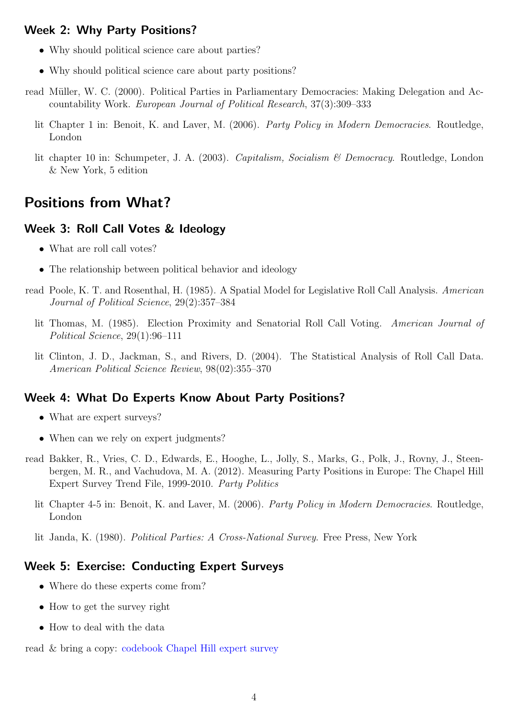## <span id="page-3-1"></span>Week 2: Why Party Positions?

- Why should political science care about parties?
- Why should political science care about party positions?
- read Müller, W. C. (2000). Political Parties in Parliamentary Democracies: Making Delegation and Accountability Work. European Journal of Political Research, 37(3):309–333
	- lit Chapter 1 in: Benoit, K. and Laver, M. (2006). Party Policy in Modern Democracies. Routledge, London
	- lit chapter 10 in: Schumpeter, J. A. (2003). Capitalism, Socialism & Democracy. Routledge, London & New York, 5 edition

# <span id="page-3-2"></span>Positions from What?

### <span id="page-3-3"></span>Week 3: Roll Call Votes & Ideology

- What are roll call votes?
- The relationship between political behavior and ideology
- <span id="page-3-0"></span>read Poole, K. T. and Rosenthal, H. (1985). A Spatial Model for Legislative Roll Call Analysis. American Journal of Political Science, 29(2):357–384
	- lit Thomas, M. (1985). Election Proximity and Senatorial Roll Call Voting. American Journal of Political Science, 29(1):96–111
	- lit Clinton, J. D., Jackman, S., and Rivers, D. (2004). The Statistical Analysis of Roll Call Data. American Political Science Review, 98(02):355–370

## <span id="page-3-4"></span>Week 4: What Do Experts Know About Party Positions?

- What are expert surveys?
- When can we rely on expert judgments?
- read Bakker, R., Vries, C. D., Edwards, E., Hooghe, L., Jolly, S., Marks, G., Polk, J., Rovny, J., Steenbergen, M. R., and Vachudova, M. A. (2012). Measuring Party Positions in Europe: The Chapel Hill Expert Survey Trend File, 1999-2010. Party Politics
	- lit Chapter 4-5 in: Benoit, K. and Laver, M. (2006). Party Policy in Modern Democracies. Routledge, London
	- lit Janda, K. (1980). Political Parties: A Cross-National Survey. Free Press, New York

### <span id="page-3-5"></span>Week 5: Exercise: Conducting Expert Surveys

- Where do these experts come from?
- How to get the survey right
- How to deal with the data

read & bring a copy: [codebook Chapel Hill expert survey](http://www.unc.edu/~hooghe/assets/data/pp/Trend_Codebook.pdf)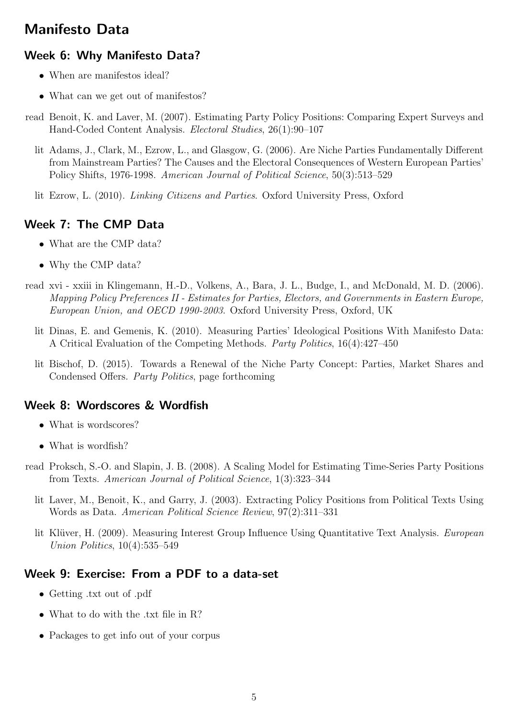# <span id="page-4-3"></span>Manifesto Data

## <span id="page-4-4"></span>Week 6: Why Manifesto Data?

- When are manifestos ideal?
- What can we get out of manifestos?
- <span id="page-4-0"></span>read Benoit, K. and Laver, M. (2007). Estimating Party Policy Positions: Comparing Expert Surveys and Hand-Coded Content Analysis. Electoral Studies, 26(1):90–107
	- lit Adams, J., Clark, M., Ezrow, L., and Glasgow, G. (2006). Are Niche Parties Fundamentally Different from Mainstream Parties? The Causes and the Electoral Consequences of Western European Parties' Policy Shifts, 1976-1998. American Journal of Political Science, 50(3):513–529
	- lit Ezrow, L. (2010). Linking Citizens and Parties. Oxford University Press, Oxford

## <span id="page-4-5"></span>Week 7: The CMP Data

- What are the CMP data?
- <span id="page-4-1"></span>• Why the CMP data?
- read xvi xxiii in Klingemann, H.-D., Volkens, A., Bara, J. L., Budge, I., and McDonald, M. D. (2006). Mapping Policy Preferences II - Estimates for Parties, Electors, and Governments in Eastern Europe, European Union, and OECD 1990-2003. Oxford University Press, Oxford, UK
	- lit Dinas, E. and Gemenis, K. (2010). Measuring Parties' Ideological Positions With Manifesto Data: A Critical Evaluation of the Competing Methods. Party Politics, 16(4):427–450
	- lit Bischof, D. (2015). Towards a Renewal of the Niche Party Concept: Parties, Market Shares and Condensed Offers. Party Politics, page forthcoming

## <span id="page-4-6"></span>Week 8: Wordscores & Wordfish

- What is wordscores?
- What is wordfish?
- <span id="page-4-2"></span>read Proksch, S.-O. and Slapin, J. B. (2008). A Scaling Model for Estimating Time-Series Party Positions from Texts. American Journal of Political Science, 1(3):323–344
	- lit Laver, M., Benoit, K., and Garry, J. (2003). Extracting Policy Positions from Political Texts Using Words as Data. American Political Science Review, 97(2):311–331
	- lit Klüver, H. (2009). Measuring Interest Group Influence Using Quantitative Text Analysis. European Union Politics, 10(4):535–549

## <span id="page-4-7"></span>Week 9: Exercise: From a PDF to a data-set

- Getting .txt out of .pdf
- What to do with the .txt file in R?
- Packages to get info out of your corpus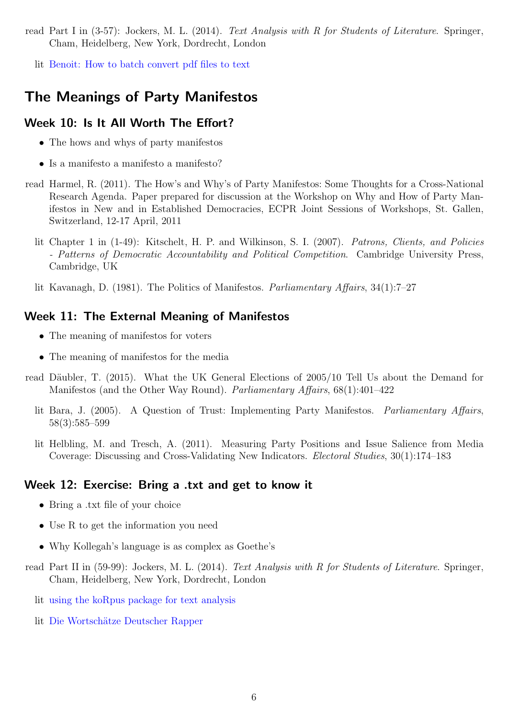read Part I in (3-57): Jockers, M. L. (2014). Text Analysis with R for Students of Literature. Springer, Cham, Heidelberg, New York, Dordrecht, London

lit [Benoit: How to batch convert pdf files to text](http://www.kenbenoit.net/category/quantitative-methods/)

# <span id="page-5-0"></span>The Meanings of Party Manifestos

### <span id="page-5-1"></span>Week 10: Is It All Worth The Effort?

- The hows and whys of party manifestos
- Is a manifesto a manifesto a manifesto?
- read Harmel, R. (2011). The How's and Why's of Party Manifestos: Some Thoughts for a Cross-National Research Agenda. Paper prepared for discussion at the Workshop on Why and How of Party Manifestos in New and in Established Democracies, ECPR Joint Sessions of Workshops, St. Gallen, Switzerland, 12-17 April, 2011
	- lit Chapter 1 in (1-49): Kitschelt, H. P. and Wilkinson, S. I. (2007). Patrons, Clients, and Policies - Patterns of Democratic Accountability and Political Competition. Cambridge University Press, Cambridge, UK
	- lit Kavanagh, D. (1981). The Politics of Manifestos. Parliamentary Affairs, 34(1):7–27

#### <span id="page-5-2"></span>Week 11: The External Meaning of Manifestos

- The meaning of manifestos for voters
- The meaning of manifestos for the media
- read Däubler, T. (2015). What the UK General Elections of 2005/10 Tell Us about the Demand for Manifestos (and the Other Way Round). Parliamentary Affairs, 68(1):401–422
	- lit Bara, J. (2005). A Question of Trust: Implementing Party Manifestos. Parliamentary Affairs, 58(3):585–599
	- lit Helbling, M. and Tresch, A. (2011). Measuring Party Positions and Issue Salience from Media Coverage: Discussing and Cross-Validating New Indicators. Electoral Studies, 30(1):174–183

#### <span id="page-5-3"></span>Week 12: Exercise: Bring a .txt and get to know it

- Bring a .txt file of your choice
- Use R to get the information you need
- Why Kollegah's language is as complex as Goethe's
- read Part II in (59-99): Jockers, M. L. (2014). Text Analysis with R for Students of Literature. Springer, Cham, Heidelberg, New York, Dordrecht, London
	- lit [using the koRpus package for text analysis](http://cran.r-project.org/web/packages/koRpus/vignettes/koRpus_vignette.pdf)
	- lit Die Wortschätze Deutscher Rapper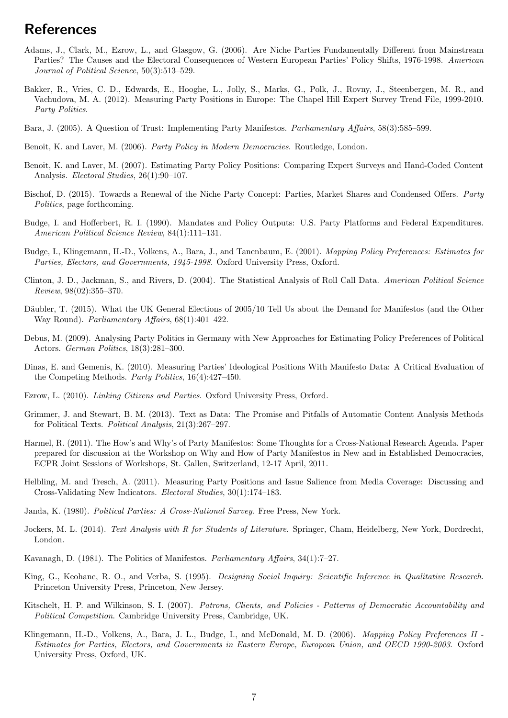# **References**

- Adams, J., Clark, M., Ezrow, L., and Glasgow, G. (2006). Are Niche Parties Fundamentally Different from Mainstream Parties? The Causes and the Electoral Consequences of Western European Parties' Policy Shifts, 1976-1998. American Journal of Political Science, 50(3):513–529.
- Bakker, R., Vries, C. D., Edwards, E., Hooghe, L., Jolly, S., Marks, G., Polk, J., Rovny, J., Steenbergen, M. R., and Vachudova, M. A. (2012). Measuring Party Positions in Europe: The Chapel Hill Expert Survey Trend File, 1999-2010. Party Politics.
- Bara, J. (2005). A Question of Trust: Implementing Party Manifestos. Parliamentary Affairs, 58(3):585–599.
- Benoit, K. and Laver, M. (2006). Party Policy in Modern Democracies. Routledge, London.
- Benoit, K. and Laver, M. (2007). Estimating Party Policy Positions: Comparing Expert Surveys and Hand-Coded Content Analysis. Electoral Studies, 26(1):90–107.
- Bischof, D. (2015). Towards a Renewal of the Niche Party Concept: Parties, Market Shares and Condensed Offers. Party Politics, page forthcoming.
- Budge, I. and Hofferbert, R. I. (1990). Mandates and Policy Outputs: U.S. Party Platforms and Federal Expenditures. American Political Science Review, 84(1):111–131.
- <span id="page-6-0"></span>Budge, I., Klingemann, H.-D., Volkens, A., Bara, J., and Tanenbaum, E. (2001). Mapping Policy Preferences: Estimates for Parties, Electors, and Governments, 1945-1998. Oxford University Press, Oxford.
- Clinton, J. D., Jackman, S., and Rivers, D. (2004). The Statistical Analysis of Roll Call Data. American Political Science Review, 98(02):355–370.
- Däubler, T. (2015). What the UK General Elections of 2005/10 Tell Us about the Demand for Manifestos (and the Other Way Round). Parliamentary Affairs, 68(1):401–422.
- Debus, M. (2009). Analysing Party Politics in Germany with New Approaches for Estimating Policy Preferences of Political Actors. German Politics, 18(3):281–300.
- Dinas, E. and Gemenis, K. (2010). Measuring Parties' Ideological Positions With Manifesto Data: A Critical Evaluation of the Competing Methods. Party Politics, 16(4):427–450.
- Ezrow, L. (2010). Linking Citizens and Parties. Oxford University Press, Oxford.
- Grimmer, J. and Stewart, B. M. (2013). Text as Data: The Promise and Pitfalls of Automatic Content Analysis Methods for Political Texts. Political Analysis, 21(3):267–297.
- Harmel, R. (2011). The How's and Why's of Party Manifestos: Some Thoughts for a Cross-National Research Agenda. Paper prepared for discussion at the Workshop on Why and How of Party Manifestos in New and in Established Democracies, ECPR Joint Sessions of Workshops, St. Gallen, Switzerland, 12-17 April, 2011.
- Helbling, M. and Tresch, A. (2011). Measuring Party Positions and Issue Salience from Media Coverage: Discussing and Cross-Validating New Indicators. Electoral Studies, 30(1):174–183.
- Janda, K. (1980). Political Parties: A Cross-National Survey. Free Press, New York.
- Jockers, M. L. (2014). Text Analysis with R for Students of Literature. Springer, Cham, Heidelberg, New York, Dordrecht, London.
- Kavanagh, D. (1981). The Politics of Manifestos. Parliamentary Affairs, 34(1):7–27.
- King, G., Keohane, R. O., and Verba, S. (1995). Designing Social Inquiry: Scientific Inference in Qualitative Research. Princeton University Press, Princeton, New Jersey.
- Kitschelt, H. P. and Wilkinson, S. I. (2007). Patrons, Clients, and Policies Patterns of Democratic Accountability and Political Competition. Cambridge University Press, Cambridge, UK.
- Klingemann, H.-D., Volkens, A., Bara, J. L., Budge, I., and McDonald, M. D. (2006). Mapping Policy Preferences II Estimates for Parties, Electors, and Governments in Eastern Europe, European Union, and OECD 1990-2003. Oxford University Press, Oxford, UK.